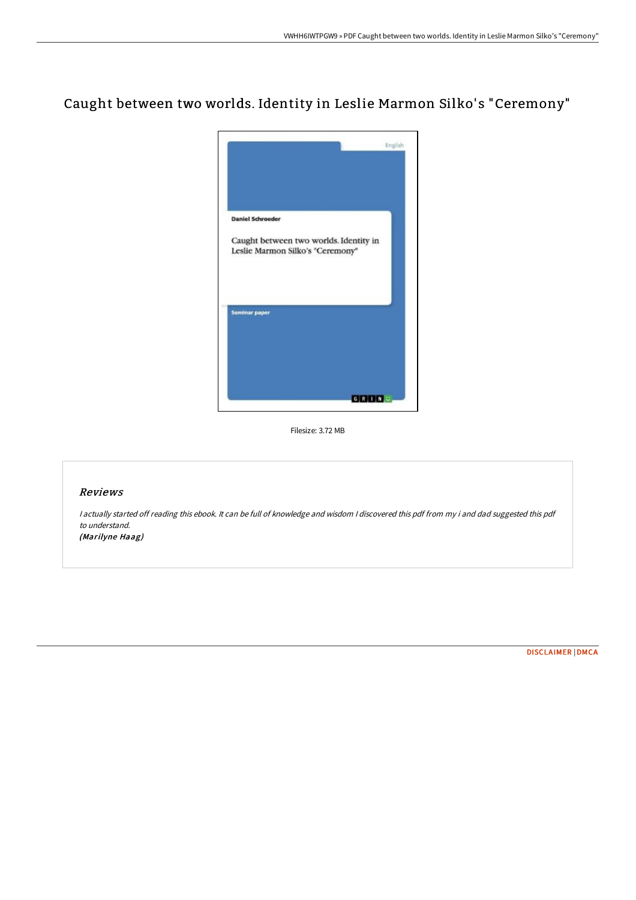# Caught between two worlds. Identity in Leslie Marmon Silko' s "Ceremony"



Filesize: 3.72 MB

## Reviews

<sup>I</sup> actually started off reading this ebook. It can be full of knowledge and wisdom <sup>I</sup> discovered this pdf from my i and dad suggested this pdf to understand. (Marilyne Haag)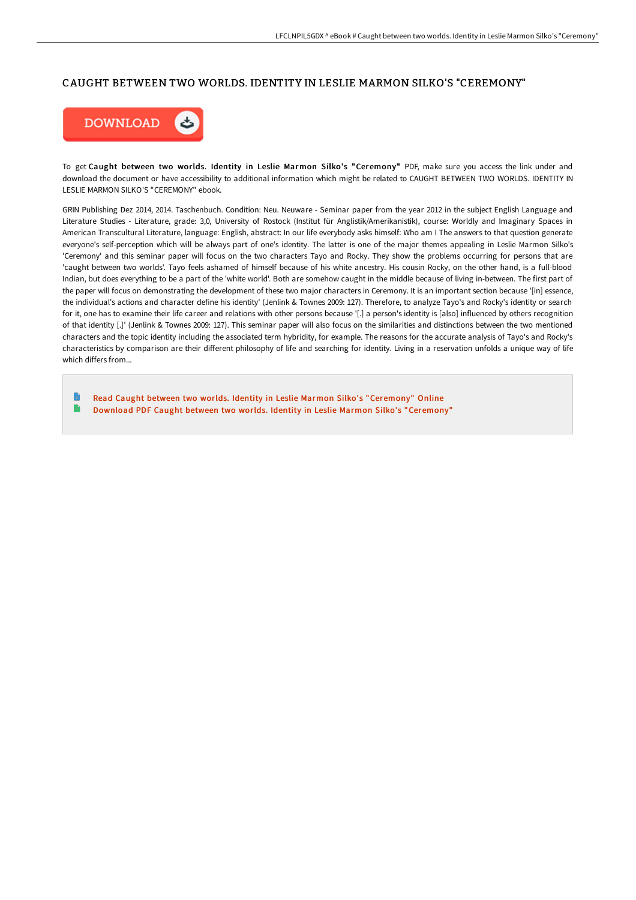## CAUGHT BETWEEN TWO WORLDS. IDENTITY IN LESLIE MARMON SILKO'S "CEREMONY"



To get Caught between two worlds. Identity in Leslie Marmon Silko's "Ceremony" PDF, make sure you access the link under and download the document or have accessibility to additional information which might be related to CAUGHT BETWEEN TWO WORLDS. IDENTITY IN LESLIE MARMON SILKO'S "CEREMONY" ebook.

GRIN Publishing Dez 2014, 2014. Taschenbuch. Condition: Neu. Neuware - Seminar paper from the year 2012 in the subject English Language and Literature Studies - Literature, grade: 3,0, University of Rostock (Institut für Anglistik/Amerikanistik), course: Worldly and Imaginary Spaces in American Transcultural Literature, language: English, abstract: In our life everybody asks himself: Who am I The answers to that question generate everyone's self-perception which will be always part of one's identity. The latter is one of the major themes appealing in Leslie Marmon Silko's 'Ceremony' and this seminar paper will focus on the two characters Tayo and Rocky. They show the problems occurring for persons that are 'caught between two worlds'. Tayo feels ashamed of himself because of his white ancestry. His cousin Rocky, on the other hand, is a full-blood Indian, but does everything to be a part of the 'white world'. Both are somehow caught in the middle because of living in-between. The first part of the paper will focus on demonstrating the development of these two major characters in Ceremony. It is an important section because '[in] essence, the individual's actions and character define his identity' (Jenlink & Townes 2009: 127). Therefore, to analyze Tayo's and Rocky's identity or search for it, one has to examine their life career and relations with other persons because '[.] a person's identity is [also] influenced by others recognition of that identity [.]' (Jenlink & Townes 2009: 127). This seminar paper will also focus on the similarities and distinctions between the two mentioned characters and the topic identity including the associated term hybridity, for example. The reasons for the accurate analysis of Tayo's and Rocky's characteristics by comparison are their different philosophy of life and searching for identity. Living in a reservation unfolds a unique way of life which differs from...

n Read Caught between two worlds. Identity in Leslie Marmon Silko's ["Ceremony"](http://bookera.tech/caught-between-two-worlds-identity-in-leslie-mar.html) Online e Download PDF Caught between two worlds. Identity in Leslie Marmon Silko's ["Ceremony"](http://bookera.tech/caught-between-two-worlds-identity-in-leslie-mar.html)